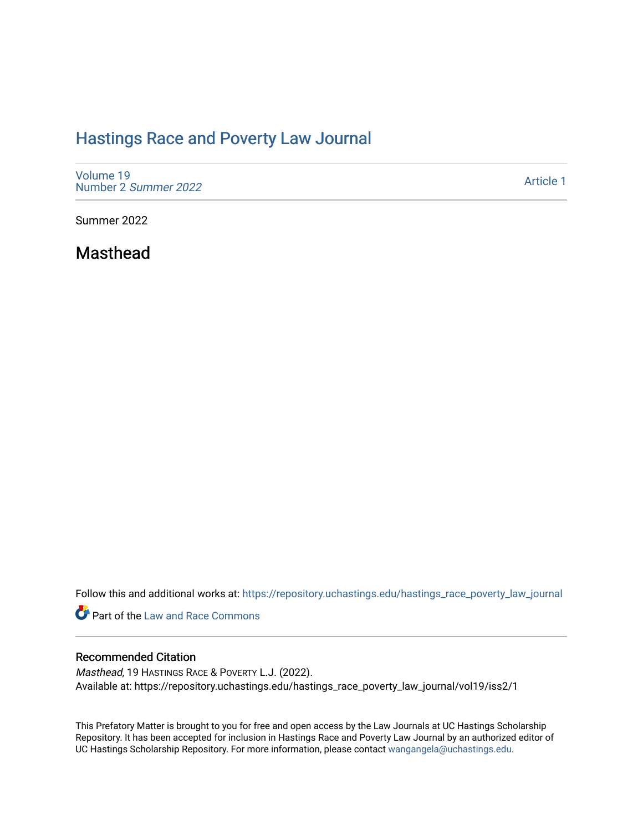# [Hastings Race and Poverty Law Journal](https://repository.uchastings.edu/hastings_race_poverty_law_journal)

[Volume 19](https://repository.uchastings.edu/hastings_race_poverty_law_journal/vol19) [Number 2](https://repository.uchastings.edu/hastings_race_poverty_law_journal/vol19/iss2) Summer 2022

[Article 1](https://repository.uchastings.edu/hastings_race_poverty_law_journal/vol19/iss2/1) 

Summer 2022

Masthead

Follow this and additional works at: [https://repository.uchastings.edu/hastings\\_race\\_poverty\\_law\\_journal](https://repository.uchastings.edu/hastings_race_poverty_law_journal?utm_source=repository.uchastings.edu%2Fhastings_race_poverty_law_journal%2Fvol19%2Fiss2%2F1&utm_medium=PDF&utm_campaign=PDFCoverPages) 

Part of the [Law and Race Commons](https://network.bepress.com/hgg/discipline/1300?utm_source=repository.uchastings.edu%2Fhastings_race_poverty_law_journal%2Fvol19%2Fiss2%2F1&utm_medium=PDF&utm_campaign=PDFCoverPages) 

## Recommended Citation

Masthead, 19 HASTINGS RACE & POVERTY L.J. (2022). Available at: https://repository.uchastings.edu/hastings\_race\_poverty\_law\_journal/vol19/iss2/1

This Prefatory Matter is brought to you for free and open access by the Law Journals at UC Hastings Scholarship Repository. It has been accepted for inclusion in Hastings Race and Poverty Law Journal by an authorized editor of UC Hastings Scholarship Repository. For more information, please contact [wangangela@uchastings.edu](mailto:wangangela@uchastings.edu).